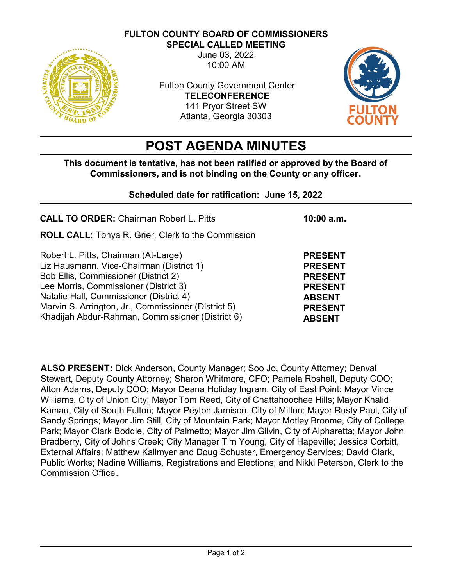**FULTON COUNTY BOARD OF COMMISSIONERS SPECIAL CALLED MEETING**



June 03, 2022 10:00 AM

Fulton County Government Center **TELECONFERENCE** 141 Pryor Street SW Atlanta, Georgia 30303



# **POST AGENDA MINUTES**

**This document is tentative, has not been ratified or approved by the Board of Commissioners, and is not binding on the County or any officer.** 

## **Scheduled date for ratification: June 15, 2022**

| <b>CALL TO ORDER: Chairman Robert L. Pitts</b>                                                                                                                                                                                                                                                                          | $10:00$ a.m.                                                                                                             |
|-------------------------------------------------------------------------------------------------------------------------------------------------------------------------------------------------------------------------------------------------------------------------------------------------------------------------|--------------------------------------------------------------------------------------------------------------------------|
| <b>ROLL CALL:</b> Tonya R. Grier, Clerk to the Commission                                                                                                                                                                                                                                                               |                                                                                                                          |
| Robert L. Pitts, Chairman (At-Large)<br>Liz Hausmann, Vice-Chairman (District 1)<br>Bob Ellis, Commissioner (District 2)<br>Lee Morris, Commissioner (District 3)<br>Natalie Hall, Commissioner (District 4)<br>Marvin S. Arrington, Jr., Commissioner (District 5)<br>Khadijah Abdur-Rahman, Commissioner (District 6) | <b>PRESENT</b><br><b>PRESENT</b><br><b>PRESENT</b><br><b>PRESENT</b><br><b>ABSENT</b><br><b>PRESENT</b><br><b>ABSENT</b> |

**ALSO PRESENT:** Dick Anderson, County Manager; Soo Jo, County Attorney; Denval Stewart, Deputy County Attorney; Sharon Whitmore, CFO; Pamela Roshell, Deputy COO; Alton Adams, Deputy COO; Mayor Deana Holiday Ingram, City of East Point; Mayor Vince Williams, City of Union City; Mayor Tom Reed, City of Chattahoochee Hills; Mayor Khalid Kamau, City of South Fulton; Mayor Peyton Jamison, City of Milton; Mayor Rusty Paul, City of Sandy Springs; Mayor Jim Still, City of Mountain Park; Mayor Motley Broome, City of College Park; Mayor Clark Boddie, City of Palmetto; Mayor Jim Gilvin, City of Alpharetta; Mayor John Bradberry, City of Johns Creek; City Manager Tim Young, City of Hapeville; Jessica Corbitt, External Affairs; Matthew Kallmyer and Doug Schuster, Emergency Services; David Clark, Public Works; Nadine Williams, Registrations and Elections; and Nikki Peterson, Clerk to the Commission Office.